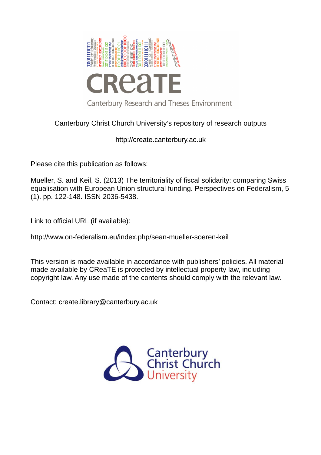

## Canterbury Christ Church University's repository of research outputs

http://create.canterbury.ac.uk

Please cite this publication as follows:

Mueller, S. and Keil, S. (2013) The territoriality of fiscal solidarity: comparing Swiss equalisation with European Union structural funding. Perspectives on Federalism, 5 (1). pp. 122-148. ISSN 2036-5438.

Link to official URL (if available):

http://www.on-federalism.eu/index.php/sean-mueller-soeren-keil

This version is made available in accordance with publishers' policies. All material made available by CReaTE is protected by intellectual property law, including copyright law. Any use made of the contents should comply with the relevant law.

Contact: create.library@canterbury.ac.uk

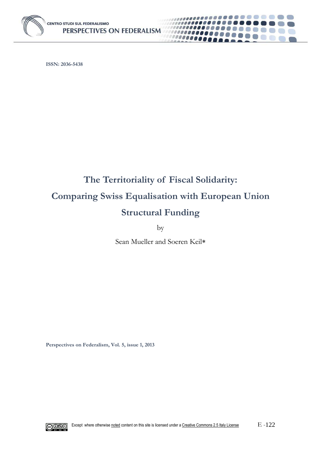

**ISSN: 2036-5438**

# **The Territoriality of Fiscal Solidarity: Comparing Swiss Equalisation with European Union Structural Funding**

000000000 1000000

by

Sean Mueller and Soeren Keil

**Perspectives on Federalism, Vol. 5, issue 1, 2013** 

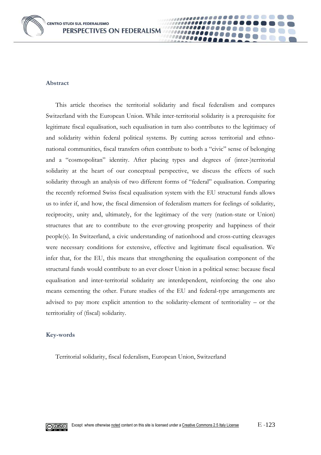

#### **Abstract**

This article theorises the territorial solidarity and fiscal federalism and compares Switzerland with the European Union. While inter-territorial solidarity is a prerequisite for legitimate fiscal equalisation, such equalisation in turn also contributes to the legitimacy of and solidarity within federal political systems. By cutting across territorial and ethnonational communities, fiscal transfers often contribute to both a "civic" sense of belonging and a "cosmopolitan" identity. After placing types and degrees of (inter-)territorial solidarity at the heart of our conceptual perspective, we discuss the effects of such solidarity through an analysis of two different forms of "federal" equalisation. Comparing the recently reformed Swiss fiscal equalisation system with the EU structural funds allows us to infer if, and how, the fiscal dimension of federalism matters for feelings of solidarity, reciprocity, unity and, ultimately, for the legitimacy of the very (nation-state or Union) structures that are to contribute to the ever-growing prosperity and happiness of their people(s). In Switzerland, a civic understanding of nationhood and cross-cutting cleavages were necessary conditions for extensive, effective and legitimate fiscal equalisation. We infer that, for the EU, this means that strengthening the equalisation component of the structural funds would contribute to an ever closer Union in a political sense: because fiscal equalisation and inter-territorial solidarity are interdependent, reinforcing the one also means cementing the other. Future studies of the EU and federal-type arrangements are advised to pay more explicit attention to the solidarity-element of territoriality – or the territoriality of (fiscal) solidarity.

....

#### **Key-words**

Territorial solidarity, fiscal federalism, European Union, Switzerland

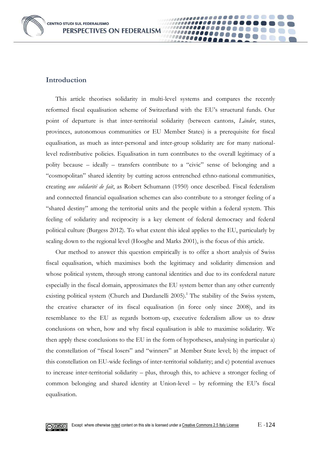**CENTRO STUDI SUL FEDERALISMO** PERSPECTIVES ON FEDERALISM

## **Introduction**

This article theorises solidarity in multi-level systems and compares the recently reformed fiscal equalisation scheme of Switzerland with the EU's structural funds. Our point of departure is that inter-territorial solidarity (between cantons, *Länder*, states, provinces, autonomous communities or EU Member States) is a prerequisite for fiscal equalisation, as much as inter-personal and inter-group solidarity are for many nationallevel redistributive policies. Equalisation in turn contributes to the overall legitimacy of a polity because – ideally – transfers contribute to a "civic" sense of belonging and a "cosmopolitan" shared identity by cutting across entrenched ethno-national communities, creating *une solidarité de fait*, as Robert Schumann (1950) once described. Fiscal federalism and connected financial equalisation schemes can also contribute to a stronger feeling of a "shared destiny" among the territorial units and the people within a federal system. This feeling of solidarity and reciprocity is a key element of federal democracy and federal political culture (Burgess 2012). To what extent this ideal applies to the EU, particularly by scaling down to the regional level (Hooghe and Marks 2001), is the focus of this article.

....

Our method to answer this question empirically is to offer a short analysis of Swiss fiscal equalisation, which maximises both the legitimacy and solidarity dimension and whose political system, through strong cantonal identities and due to its confederal nature especially in the fiscal domain, approximates the EU system better than any other currently existing political system (Church and Dardanelli 2005).<sup>I</sup> The stability of the Swiss system, the creative character of its fiscal equalisation (in force only since 2008), and its resemblance to the EU as regards bottom-up, executive federalism allow us to draw conclusions on when, how and why fiscal equalisation is able to maximise solidarity. We then apply these conclusions to the EU in the form of hypotheses, analysing in particular a) the constellation of "fiscal losers" and "winners" at Member State level; b) the impact of this constellation on EU-wide feelings of inter-territorial solidarity; and c) potential avenues to increase inter-territorial solidarity – plus, through this, to achieve a stronger feeling of common belonging and shared identity at Union-level – by reforming the EU's fiscal equalisation.

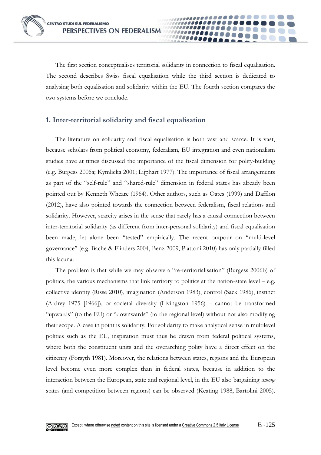The first section conceptualises territorial solidarity in connection to fiscal equalisation. The second describes Swiss fiscal equalisation while the third section is dedicated to analysing both equalisation and solidarity within the EU. The fourth section compares the two systems before we conclude.

0000

## **1. Inter-territorial solidarity and fiscal equalisation**

The literature on solidarity and fiscal equalisation is both vast and scarce. It is vast, because scholars from political economy, federalism, EU integration and even nationalism studies have at times discussed the importance of the fiscal dimension for polity-building (e.g. Burgess 2006a; Kymlicka 2001; Lijphart 1977). The importance of fiscal arrangements as part of the "self-rule" and "shared-rule" dimension in federal states has already been pointed out by Kenneth Wheare (1964). Other authors, such as Oates (1999) and Dafflon (2012), have also pointed towards the connection between federalism, fiscal relations and solidarity. However, scarcity arises in the sense that rarely has a causal connection between inter-territorial solidarity (as different from inter-personal solidarity) and fiscal equalisation been made, let alone been "tested" empirically. The recent outpour on "multi-level governance" (e.g. Bache & Flinders 2004, Benz 2009, Piattoni 2010) has only partially filled this lacuna.

The problem is that while we may observe a "re-territorialisation" (Burgess 2006b) of politics, the various mechanisms that link territory to politics at the nation-state level  $-e.g.$ collective identity (Risse 2010), imagination (Anderson 1983), control (Sack 1986), instinct (Ardrey 1975 [1966]), or societal diversity (Livingston 1956) – cannot be transformed "upwards" (to the EU) or "downwards" (to the regional level) without not also modifying their scope. A case in point is solidarity. For solidarity to make analytical sense in multilevel polities such as the EU, inspiration must thus be drawn from federal political systems, where both the constituent units and the overarching polity have a direct effect on the citizenry (Forsyth 1981). Moreover, the relations between states, regions and the European level become even more complex than in federal states, because in addition to the interaction between the European, state and regional level, in the EU also bargaining *among* states (and competition between regions) can be observed (Keating 1988, Bartolini 2005).

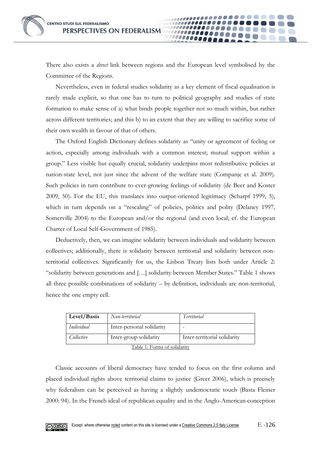

**0000** 

Nevertheless, even in federal studies solidarity as a key element of fiscal equalisation is rarely made explicit, so that one has to turn to political geography and studies of state formation to make sense of a) what binds people together not so much within, but rather across different territories; and this b) to an extent that they are willing to sacrifice some of their own wealth in favour of that of others.

The Oxford English Dictionary defines solidarity as "unity or agreement of feeling or action, especially among individuals with a common interest; mutual support within a group." Less visible but equally crucial, solidarity underpins most redistributive policies at nation-state level, not just since the advent of the welfare state (Companje et al. 2009). Such policies in turn contribute to ever-growing feelings of solidarity (de Beer and Koster 2009, 50). For the EU, this translates into output-oriented legitimacy (Scharpf 1999, 5), which in turn depends on a "rescaling" of policies, politics and polity (Delaney 1997, Somerville 2004) to the European and/or the regional (and even local; cf. the European Charter of Local Self-Government of 1985).

Deductively, then, we can imagine solidarity between individuals and solidarity between collectives; additionally, there is solidarity between territorial and solidarity between nonterritorial collectives. Significantly for us, the Lisbon Treaty lists both under Article 2: "solidarity between generations and […] solidarity between Member States." Table 1 shows all three possible combinations of solidarity – by definition, individuals are non-territorial, hence the one empty cell.

| Level/Basis                  | Non-territorial           | Territorial                  |
|------------------------------|---------------------------|------------------------------|
| <i>Individual</i>            | Inter-personal solidarity |                              |
| Collective                   | Inter-group solidarity    | Inter-territorial solidarity |
| Table 1: Forms of solidarity |                           |                              |

Classic accounts of liberal democracy have tended to focus on the first column and placed individual rights above territorial claims to justice (Greer 2006), which is precisely why federalism can be perceived as having a slightly undemocratic touch (Basta Fleiner 2000: 94). In the French ideal of republican equality and in the Anglo-American conception

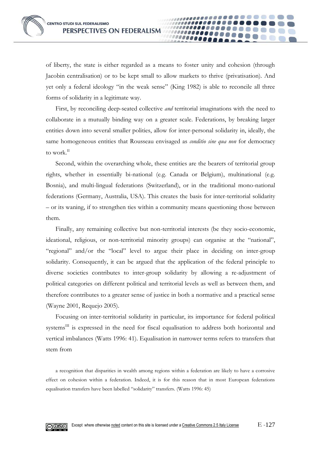of liberty, the state is either regarded as a means to foster unity and cohesion (through Jacobin centralisation) or to be kept small to allow markets to thrive (privatisation). And yet only a federal ideology "in the weak sense" (King 1982) is able to reconcile all three forms of solidarity in a legitimate way.

....

First, by reconciling deep-seated collective *and* territorial imaginations with the need to collaborate in a mutually binding way on a greater scale. Federations, by breaking larger entities down into several smaller polities, allow for inter-personal solidarity in, ideally, the same homogeneous entities that Rousseau envisaged as *conditio sine qua non* for democracy to work.<sup>II</sup>

Second, within the overarching whole, these entities are the bearers of territorial group rights, whether in essentially bi-national (e.g. Canada or Belgium), multinational (e.g. Bosnia), and multi-lingual federations (Switzerland), or in the traditional mono-national federations (Germany, Australia, USA). This creates the basis for inter-territorial solidarity – or its waning, if to strengthen ties within a community means questioning those between them.

Finally, any remaining collective but non-territorial interests (be they socio-economic, ideational, religious, or non-territorial minority groups) can organise at the "national", "regional" and/or the "local" level to argue their place in deciding on inter-group solidarity. Consequently, it can be argued that the application of the federal principle to diverse societies contributes to inter-group solidarity by allowing a re-adjustment of political categories on different political and territorial levels as well as between them, and therefore contributes to a greater sense of justice in both a normative and a practical sense (Wayne 2001, Requejo 2005).

Focusing on inter-territorial solidarity in particular, its importance for federal political systems<sup>III</sup> is expressed in the need for fiscal equalisation to address both horizontal and vertical imbalances (Watts 1996: 41). Equalisation in narrower terms refers to transfers that stem from

a recognition that disparities in wealth among regions within a federation are likely to have a corrosive effect on cohesion within a federation. Indeed, it is for this reason that in most European federations equalisation transfers have been labelled "solidarity" transfers. (Watts 1996: 45)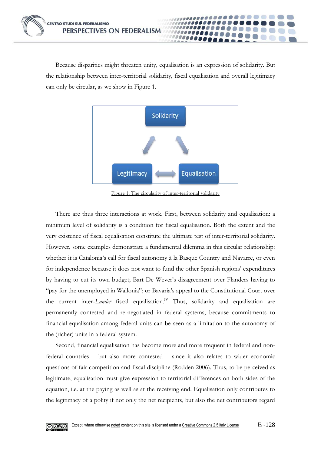Because disparities might threaten unity, equalisation is an expression of solidarity. But the relationship between inter-territorial solidarity, fiscal equalisation and overall legitimacy can only be circular, as we show in Figure 1.

....



Figure 1: The circularity of inter-territorial solidarity

There are thus three interactions at work. First, between solidarity and equalisation: a minimum level of solidarity is a condition for fiscal equalisation. Both the extent and the very existence of fiscal equalisation constitute the ultimate test of inter-territorial solidarity. However, some examples demonstrate a fundamental dilemma in this circular relationship: whether it is Catalonia's call for fiscal autonomy à la Basque Country and Navarre, or even for independence because it does not want to fund the other Spanish regions' expenditures by having to cut its own budget; Bart De Wever's disagreement over Flanders having to "pay for the unemployed in Wallonia"; or Bavaria's appeal to the Constitutional Court over the current inter-*Länder* fiscal equalisation.<sup>IV</sup> Thus, solidarity and equalisation are permanently contested and re-negotiated in federal systems, because commitments to financial equalisation among federal units can be seen as a limitation to the autonomy of the (richer) units in a federal system.

Second, financial equalisation has become more and more frequent in federal and nonfederal countries – but also more contested – since it also relates to wider economic questions of fair competition and fiscal discipline (Rodden 2006). Thus, to be perceived as legitimate, equalisation must give expression to territorial differences on both sides of the equation, i.e. at the paying as well as at the receiving end. Equalisation only contributes to the legitimacy of a polity if not only the net recipients, but also the net contributors regard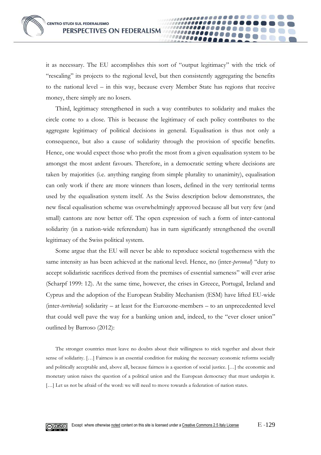it as necessary. The EU accomplishes this sort of "output legitimacy" with the trick of "rescaling" its projects to the regional level, but then consistently aggregating the benefits to the national level – in this way, because every Member State has regions that receive money, there simply are no losers.

100001

Third, legitimacy strengthened in such a way contributes to solidarity and makes the circle come to a close. This is because the legitimacy of each policy contributes to the aggregate legitimacy of political decisions in general. Equalisation is thus not only a consequence, but also a cause of solidarity through the provision of specific benefits. Hence, one would expect those who profit the most from a given equalisation system to be amongst the most ardent favours. Therefore, in a democratic setting where decisions are taken by majorities (i.e. anything ranging from simple plurality to unanimity), equalisation can only work if there are more winners than losers, defined in the very territorial terms used by the equalisation system itself. As the Swiss description below demonstrates, the new fiscal equalisation scheme was overwhelmingly approved because all but very few (and small) cantons are now better off. The open expression of such a form of inter-cantonal solidarity (in a nation-wide referendum) has in turn significantly strengthened the overall legitimacy of the Swiss political system.

Some argue that the EU will never be able to reproduce societal togetherness with the same intensity as has been achieved at the national level. Hence, no (inter-*personal*) "duty to accept solidaristic sacrifices derived from the premises of essential sameness" will ever arise (Scharpf 1999: 12). At the same time, however, the crises in Greece, Portugal, Ireland and Cyprus and the adoption of the European Stability Mechanism (ESM) have lifted EU-wide (inter-*territorial*) solidarity – at least for the Eurozone-members – to an unprecedented level that could well pave the way for a banking union and, indeed, to the "ever closer union" outlined by Barroso (2012):

The stronger countries must leave no doubts about their willingness to stick together and about their sense of solidarity. […] Fairness is an essential condition for making the necessary economic reforms socially and politically acceptable and, above all, because fairness is a question of social justice. […] the economic and monetary union raises the question of a political union and the European democracy that must underpin it. [...] Let us not be afraid of the word: we will need to move towards a federation of nation states.

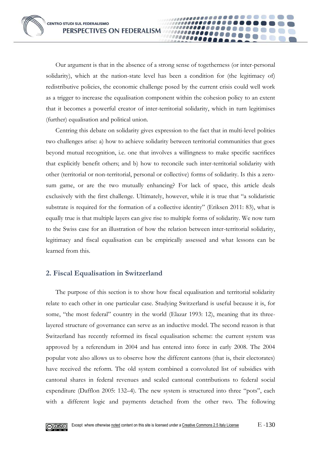Our argument is that in the absence of a strong sense of togetherness (or inter-personal solidarity), which at the nation-state level has been a condition for (the legitimacy of) redistributive policies, the economic challenge posed by the current crisis could well work as a trigger to increase the equalisation component within the cohesion policy to an extent that it becomes a powerful creator of inter-territorial solidarity, which in turn legitimises (further) equalisation and political union.

**0000** 

Centring this debate on solidarity gives expression to the fact that in multi-level polities two challenges arise: a) how to achieve solidarity between territorial communities that goes beyond mutual recognition, i.e. one that involves a willingness to make specific sacrifices that explicitly benefit others; and b) how to reconcile such inter-territorial solidarity with other (territorial or non-territorial, personal or collective) forms of solidarity. Is this a zerosum game, or are the two mutually enhancing? For lack of space, this article deals exclusively with the first challenge. Ultimately, however, while it is true that "a solidaristic substrate is required for the formation of a collective identity" (Eriksen 2011: 83), what is equally true is that multiple layers can give rise to multiple forms of solidarity. We now turn to the Swiss case for an illustration of how the relation between inter-territorial solidarity, legitimacy and fiscal equalisation can be empirically assessed and what lessons can be learned from this.

## **2. Fiscal Equalisation in Switzerland**

The purpose of this section is to show how fiscal equalisation and territorial solidarity relate to each other in one particular case. Studying Switzerland is useful because it is, for some, "the most federal" country in the world (Elazar 1993: 12), meaning that its threelayered structure of governance can serve as an inductive model. The second reason is that Switzerland has recently reformed its fiscal equalisation scheme: the current system was approved by a referendum in 2004 and has entered into force in early 2008. The 2004 popular vote also allows us to observe how the different cantons (that is, their electorates) have received the reform. The old system combined a convoluted list of subsidies with cantonal shares in federal revenues and scaled cantonal contributions to federal social expenditure (Dafflon 2005: 132–4). The new system is structured into three "pots", each with a different logic and payments detached from the other two. The following

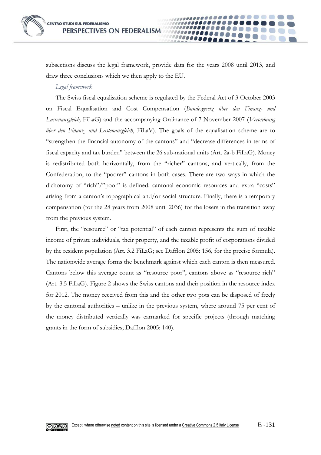subsections discuss the legal framework, provide data for the years 2008 until 2013, and draw three conclusions which we then apply to the EU.

....

#### *Legal framework*

The Swiss fiscal equalisation scheme is regulated by the Federal Act of 3 October 2003 on Fiscal Equalisation and Cost Compensation (*Bundesgesetz über den Finanz- und Lastenausgleich,* FiLaG) and the accompanying Ordinance of 7 November 2007 (*Verordnung über den Finanz- und Lastenausgleich*, FiLaV). The goals of the equalisation scheme are to "strengthen the financial autonomy of the cantons" and "decrease differences in terms of fiscal capacity and tax burden" between the 26 sub-national units (Art. 2a-b FiLaG). Money is redistributed both horizontally, from the "richer" cantons, and vertically, from the Confederation, to the "poorer" cantons in both cases. There are two ways in which the dichotomy of "rich"/"poor" is defined: cantonal economic resources and extra "costs" arising from a canton's topographical and/or social structure. Finally, there is a temporary compensation (for the 28 years from 2008 until 2036) for the losers in the transition away from the previous system.

First, the "resource" or "tax potential" of each canton represents the sum of taxable income of private individuals, their property, and the taxable profit of corporations divided by the resident population (Art. 3.2 FiLaG; see Dafflon 2005: 156, for the precise formula). The nationwide average forms the benchmark against which each canton is then measured. Cantons below this average count as "resource poor", cantons above as "resource rich" (Art. 3.5 FiLaG). Figure 2 shows the Swiss cantons and their position in the resource index for 2012. The money received from this and the other two pots can be disposed of freely by the cantonal authorities – unlike in the previous system, where around 75 per cent of the money distributed vertically was earmarked for specific projects (through matching grants in the form of subsidies; Dafflon 2005: 140).

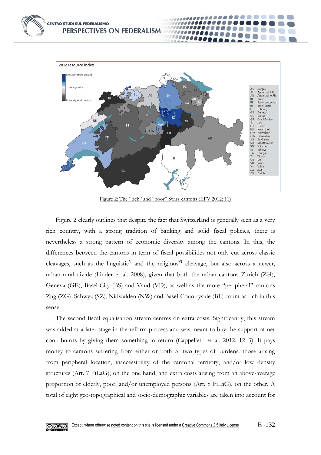2012 resource index inancially strong cantons value Aargau<br>Appenzell I.Rh.<br>Appenzell A.Rh.  $AG$ AI<br>AR<br>BE<br>BL AG Bern Basel-Landschaft MEDGES **Basel-Stadt** Fribourg Geneva<br>Glarus пú Graubünden<br>Jura<br>Luzern ow Neuchâtel UR Nidwalder Obwalden<br>St. Gallen<br>Schaffhauser GR Solothurn Schwyz<br>Thurgau<br>Ticino<br>Uri Vaud VS<br>ZG<br>ZH Valais valais<br>Zug<br>Zurich VS

......

10000000 100000

....... 0000000

Figure 2: The "rich" and "poor" Swiss cantons (EFV 2012: 11)

Figure 2 clearly outlines that despite the fact that Switzerland is generally seen as a very rich country, with a strong tradition of banking and solid fiscal policies, there is nevertheless a strong pattern of economic diversity among the cantons. In this, the differences between the cantons in term of fiscal possibilities not only cut across classic cleavages, such as the linguistic<sup>V</sup> and the religious<sup>VI</sup> cleavage, but also across a newer, urban-rural divide (Linder et al. 2008), given that both the urban cantons Zurich (ZH), Geneva (GE), Basel-City (BS) and Vaud (VD), as well as the more "peripheral" cantons Zug (ZG), Schwyz (SZ), Nidwalden (NW) and Basel-Countryside (BL) count as rich in this sense.

The second fiscal equalisation stream centres on extra costs. Significantly, this stream was added at a later stage in the reform process and was meant to buy the support of net contributors by giving them something in return (Cappelletti et al. 2012: 12–3). It pays money to cantons suffering from either or both of two types of burdens: those arising from peripheral location, inaccessibility of the cantonal territory, and/or low density structures (Art. 7 FiLaG), on the one hand, and extra costs arising from an above-average proportion of elderly, poor, and/or unemployed persons (Art. 8 FiLaG), on the other. A total of eight geo-topographical and socio-demographic variables are taken into account for

**CENTRO STUDI SUL FEDERALISMO** 

**PERSPECTIVES ON FEDERALISM**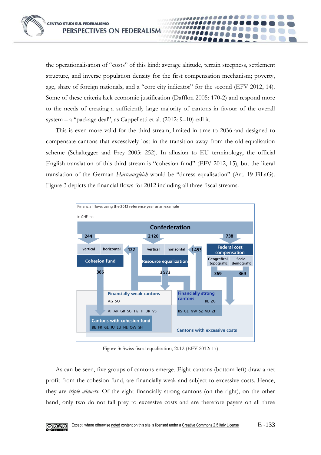the operationalisation of "costs" of this kind: average altitude, terrain steepness, settlement structure, and inverse population density for the first compensation mechanism; poverty, age, share of foreign nationals, and a "core city indicator" for the second (EFV 2012, 14). Some of these criteria lack economic justification (Dafflon 2005: 170-2) and respond more to the needs of creating a sufficiently large majority of cantons in favour of the overall system – a "package deal", as Cappelletti et al. (2012: 9–10) call it.

,,,,,,,,,,,,,,,,,,,,,

........ 00000000000

1000000000 1000000

This is even more valid for the third stream, limited in time to 2036 and designed to compensate cantons that excessively lost in the transition away from the old equalisation scheme (Schaltegger and Frey 2003: 252). In allusion to EU terminology, the official English translation of this third stream is "cohesion fund" (EFV 2012, 15), but the literal translation of the German *Härteausgleich* would be "duress equalisation" (Art. 19 FiLaG). Figure 3 depicts the financial flows for 2012 including all three fiscal streams.



Figure 3: Swiss fiscal equalisation, 2012 (EFV 2012: 17)

As can be seen, five groups of cantons emerge. Eight cantons (bottom left) draw a net profit from the cohesion fund, are financially weak and subject to excessive costs. Hence, they are *triple winners*. Of the eight financially strong cantons (on the right), on the other hand, only two do not fall prey to excessive costs and are therefore payers on all three

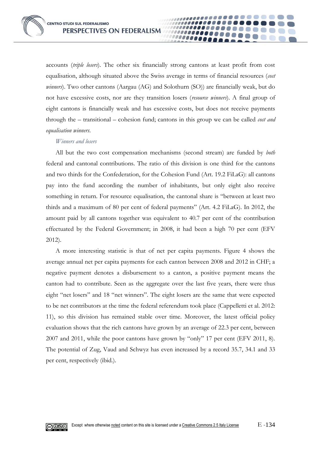accounts (*triple losers*). The other six financially strong cantons at least profit from cost equalisation, although situated above the Swiss average in terms of financial resources (*cost winners*). Two other cantons (Aargau (AG) and Solothurn (SO)) are financially weak, but do not have excessive costs, nor are they transition losers (*resource winners*). A final group of eight cantons is financially weak and has excessive costs, but does not receive payments through the – transitional – cohesion fund; cantons in this group we can be called *cost and equalisation winners*.

10000

#### *Winners and losers*

All but the two cost compensation mechanisms (second stream) are funded by *both* federal and cantonal contributions. The ratio of this division is one third for the cantons and two thirds for the Confederation, for the Cohesion Fund (Art. 19.2 FiLaG): all cantons pay into the fund according the number of inhabitants, but only eight also receive something in return. For resource equalisation, the cantonal share is "between at least two thirds and a maximum of 80 per cent of federal payments" (Art. 4.2 FiLaG). In 2012, the amount paid by all cantons together was equivalent to 40.7 per cent of the contribution effectuated by the Federal Government; in 2008, it had been a high 70 per cent (EFV 2012).

A more interesting statistic is that of net per capita payments. Figure 4 shows the average annual net per capita payments for each canton between 2008 and 2012 in CHF; a negative payment denotes a disbursement to a canton, a positive payment means the canton had to contribute. Seen as the aggregate over the last five years, there were thus eight "net losers" and 18 "net winners". The eight losers are the same that were expected to be net contributors at the time the federal referendum took place (Cappelletti et al. 2012: 11), so this division has remained stable over time. Moreover, the latest official policy evaluation shows that the rich cantons have grown by an average of 22.3 per cent, between 2007 and 2011, while the poor cantons have grown by "only" 17 per cent (EFV 2011, 8). The potential of Zug, Vaud and Schwyz has even increased by a record 35.7, 34.1 and 33 per cent, respectively (ibid.).

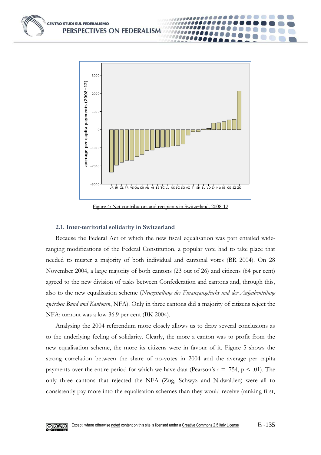

0000

Figure 4: Net contributors and recipients in Switzerland, 2008-12

#### **2.1. Inter-territorial solidarity in Switzerland**

Because the Federal Act of which the new fiscal equalisation was part entailed wideranging modifications of the Federal Constitution, a popular vote had to take place that needed to muster a majority of both individual and cantonal votes (BR 2004). On 28 November 2004, a large majority of both cantons (23 out of 26) and citizens (64 per cent) agreed to the new division of tasks between Confederation and cantons and, through this, also to the new equalisation scheme (*Neugestaltung des Finanzausgleichs und der Aufgabenteilung zwischen Bund und Kantonen*, NFA). Only in three cantons did a majority of citizens reject the NFA; turnout was a low 36.9 per cent (BK 2004).

Analysing the 2004 referendum more closely allows us to draw several conclusions as to the underlying feeling of solidarity. Clearly, the more a canton was to profit from the new equalisation scheme, the more its citizens were in favour of it. Figure 5 shows the strong correlation between the share of no-votes in 2004 and the average per capita payments over the entire period for which we have data (Pearson's  $r = .754$ ,  $p < .01$ ). The only three cantons that rejected the NFA (Zug, Schwyz and Nidwalden) were all to consistently pay more into the equalisation schemes than they would receive (ranking first,

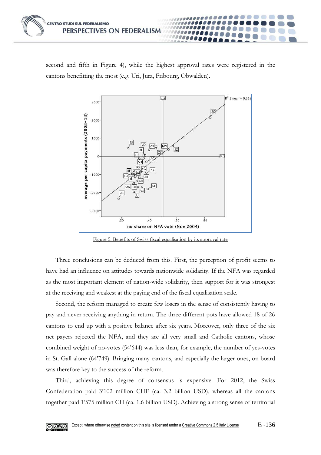

second and fifth in Figure 4), while the highest approval rates were registered in the cantons benefitting the most (e.g. Uri, Jura, Fribourg, Obwalden).



Figure 5: Benefits of Swiss fiscal equalisation by its approval rate

Three conclusions can be deduced from this. First, the perception of profit seems to have had an influence on attitudes towards nationwide solidarity. If the NFA was regarded as the most important element of nation-wide solidarity, then support for it was strongest at the receiving and weakest at the paying end of the fiscal equalisation scale.

Second, the reform managed to create few losers in the sense of consistently having to pay and never receiving anything in return. The three different pots have allowed 18 of 26 cantons to end up with a positive balance after six years. Moreover, only three of the six net payers rejected the NFA, and they are all very small and Catholic cantons, whose combined weight of no-votes (54'644) was less than, for example, the number of yes-votes in St. Gall alone (64'749). Bringing many cantons, and especially the larger ones, on board was therefore key to the success of the reform.

Third, achieving this degree of consensus is expensive. For 2012, the Swiss Confederation paid 3'102 million CHF (ca. 3.2 billion USD), whereas all the cantons together paid 1'575 million CH (ca. 1.6 billion USD). Achieving a strong sense of territorial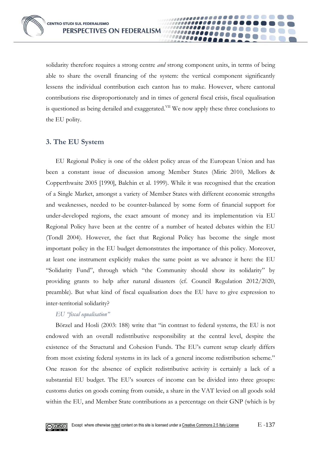solidarity therefore requires a strong centre *and* strong component units, in terms of being able to share the overall financing of the system: the vertical component significantly lessens the individual contribution each canton has to make. However, where cantonal contributions rise disproportionately and in times of general fiscal crisis, fiscal equalisation is questioned as being derailed and exaggerated.<sup>VII</sup> We now apply these three conclusions to the EU polity.

10000

## **3. The EU System**

EU Regional Policy is one of the oldest policy areas of the European Union and has been a constant issue of discussion among Member States (Miric 2010, Mellors & Copperthwaite 2005 [1990], Balchin et al. 1999). While it was recognised that the creation of a Single Market, amongst a variety of Member States with different economic strengths and weaknesses, needed to be counter-balanced by some form of financial support for under-developed regions, the exact amount of money and its implementation via EU Regional Policy have been at the centre of a number of heated debates within the EU (Tondl 2004). However, the fact that Regional Policy has become the single most important policy in the EU budget demonstrates the importance of this policy. Moreover, at least one instrument explicitly makes the same point as we advance it here: the EU "Solidarity Fund", through which "the Community should show its solidarity" by providing grants to help after natural disasters (cf. Council Regulation 2012/2020, preamble). But what kind of fiscal equalisation does the EU have to give expression to inter-territorial solidarity?

#### *EU "fiscal equalisation"*

Börzel and Hosli (2003: 188) write that "in contrast to federal systems, the EU is not endowed with an overall redistributive responsibility at the central level, despite the existence of the Structural and Cohesion Funds. The EU's current setup clearly differs from most existing federal systems in its lack of a general income redistribution scheme." One reason for the absence of explicit redistributive activity is certainly a lack of a substantial EU budget. The EU's sources of income can be divided into three groups: customs duties on goods coming from outside, a share in the VAT levied on all goods sold within the EU, and Member State contributions as a percentage on their GNP (which is by

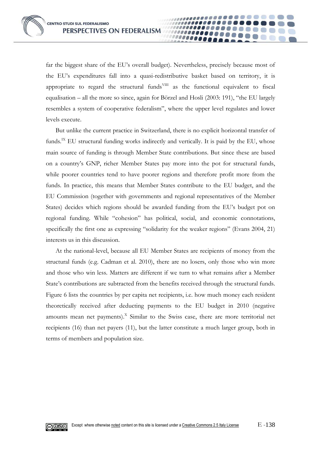far the biggest share of the EU's overall budget). Nevertheless, precisely because most of the EU's expenditures fall into a quasi-redistributive basket based on territory, it is appropriate to regard the structural funds<sup>VIII</sup> as the functional equivalent to fiscal equalisation – all the more so since, again for Börzel and Hosli (2003: 191), "the EU largely resembles a system of cooperative federalism", where the upper level regulates and lower levels execute.

....

But unlike the current practice in Switzerland, there is no explicit horizontal transfer of funds.<sup>IX</sup> EU structural funding works indirectly and vertically. It is paid by the EU, whose main source of funding is through Member State contributions. But since these are based on a country's GNP, richer Member States pay more into the pot for structural funds, while poorer countries tend to have poorer regions and therefore profit more from the funds. In practice, this means that Member States contribute to the EU budget, and the EU Commission (together with governments and regional representatives of the Member States) decides which regions should be awarded funding from the EU's budget pot on regional funding. While "cohesion" has political, social, and economic connotations, specifically the first one as expressing "solidarity for the weaker regions" (Evans 2004, 21) interests us in this discussion.

At the national-level, because all EU Member States are recipients of money from the structural funds (e.g. Cadman et al. 2010), there are no losers, only those who win more and those who win less. Matters are different if we turn to what remains after a Member State's contributions are subtracted from the benefits received through the structural funds. Figure 6 lists the countries by per capita net recipients, i.e. how much money each resident theoretically received after deducting payments to the EU budget in 2010 (negative amounts mean net payments). $X$  Similar to the Swiss case, there are more territorial net recipients (16) than net payers (11), but the latter constitute a much larger group, both in terms of members and population size.

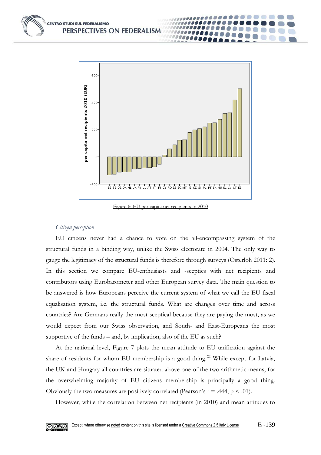

0000

Figure 6: EU per capita net recipients in 2010

#### *Citizen perception*

EU citizens never had a chance to vote on the all-encompassing system of the structural funds in a binding way, unlike the Swiss electorate in 2004. The only way to gauge the legitimacy of the structural funds is therefore through surveys (Osterloh 2011: 2). In this section we compare EU-enthusiasts and -sceptics with net recipients and contributors using Eurobarometer and other European survey data. The main question to be answered is how Europeans perceive the current system of what we call the EU fiscal equalisation system, i.e. the structural funds. What are changes over time and across countries? Are Germans really the most sceptical because they are paying the most, as we would expect from our Swiss observation, and South- and East-Europeans the most supportive of the funds – and, by implication, also of the EU as such?

At the national level, Figure 7 plots the mean attitude to EU unification against the share of residents for whom EU membership is a good thing.<sup>XI</sup> While except for Latvia, the UK and Hungary all countries are situated above one of the two arithmetic means, for the overwhelming majority of EU citizens membership is principally a good thing. Obviously the two measures are positively correlated (Pearson's  $r = .444$ ,  $p < .01$ ).

However, while the correlation between net recipients (in 2010) and mean attitudes to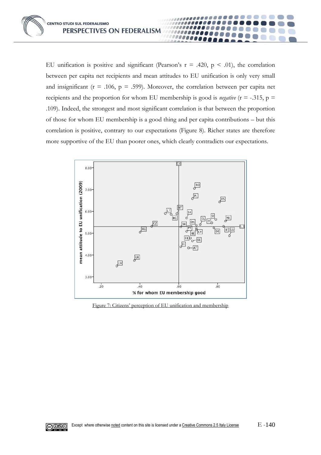EU unification is positive and significant (Pearson's  $r = .420$ ,  $p < .01$ ), the correlation between per capita net recipients and mean attitudes to EU unification is only very small and insignificant ( $r = .106$ ,  $p = .599$ ). Moreover, the correlation between per capita net recipients and the proportion for whom EU membership is good is *negative*  $(r = -.315, p =$ .109). Indeed, the strongest and most significant correlation is that between the proportion of those for whom EU membership is a good thing and per capita contributions – but this correlation is positive, contrary to our expectations (Figure 8). Richer states are therefore more supportive of the EU than poorer ones, which clearly contradicts our expectations.

**0000** 



Figure 7: Citizens' perception of EU unification and membership

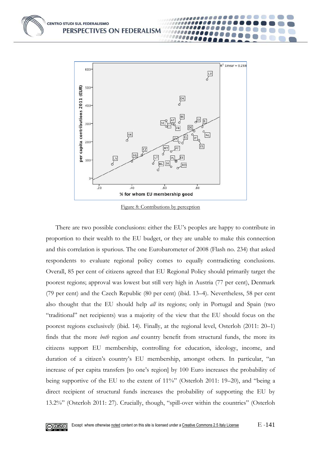

**0000** 

Figure 8: Contributions by perception

There are two possible conclusions: either the EU's peoples are happy to contribute in proportion to their wealth to the EU budget, or they are unable to make this connection and this correlation is spurious. The one Eurobarometer of 2008 (Flash no. 234) that asked respondents to evaluate regional policy comes to equally contradicting conclusions. Overall, 85 per cent of citizens agreed that EU Regional Policy should primarily target the poorest regions; approval was lowest but still very high in Austria (77 per cent), Denmark (79 per cent) and the Czech Republic (80 per cent) (ibid. 13–4). Nevertheless, 58 per cent also thought that the EU should help *all* its regions; only in Portugal and Spain (two "traditional" net recipients) was a majority of the view that the EU should focus on the poorest regions exclusively (ibid. 14). Finally, at the regional level, Osterloh (2011: 20–1) finds that the more *both* region *and* country benefit from structural funds, the more its citizens support EU membership, controlling for education, ideology, income, and duration of a citizen's country's EU membership, amongst others. In particular, "an increase of per capita transfers [to one's region] by 100 Euro increases the probability of being supportive of the EU to the extent of 11%" (Osterloh 2011: 19–20), and "being a direct recipient of structural funds increases the probability of supporting the EU by 13.2%" (Osterloh 2011: 27). Crucially, though, "spill-over within the countries" (Osterloh

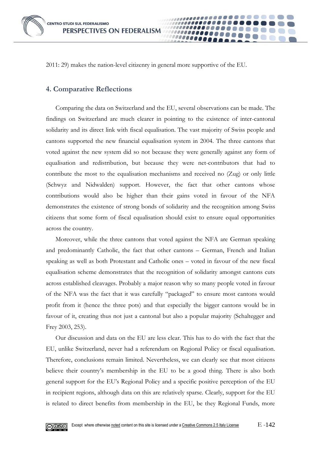2011: 29) makes the nation-level citizenry in general more supportive of the EU.

**0000** 

## **4. Comparative Reflections**

Comparing the data on Switzerland and the EU, several observations can be made. The findings on Switzerland are much clearer in pointing to the existence of inter-cantonal solidarity and its direct link with fiscal equalisation. The vast majority of Swiss people and cantons supported the new financial equalisation system in 2004. The three cantons that voted against the new system did so not because they were generally against any form of equalisation and redistribution, but because they were net-contributors that had to contribute the most to the equalisation mechanisms and received no (Zug) or only little (Schwyz and Nidwalden) support. However, the fact that other cantons whose contributions would also be higher than their gains voted in favour of the NFA demonstrates the existence of strong bonds of solidarity and the recognition among Swiss citizens that some form of fiscal equalisation should exist to ensure equal opportunities across the country.

Moreover, while the three cantons that voted against the NFA are German speaking and predominantly Catholic, the fact that other cantons – German, French and Italian speaking as well as both Protestant and Catholic ones – voted in favour of the new fiscal equalisation scheme demonstrates that the recognition of solidarity amongst cantons cuts across established cleavages. Probably a major reason why so many people voted in favour of the NFA was the fact that it was carefully "packaged" to ensure most cantons would profit from it (hence the three pots) and that especially the bigger cantons would be in favour of it, creating thus not just a cantonal but also a popular majority (Schaltegger and Frey 2003, 253).

Our discussion and data on the EU are less clear. This has to do with the fact that the EU, unlike Switzerland, never had a referendum on Regional Policy or fiscal equalisation. Therefore, conclusions remain limited. Nevertheless, we can clearly see that most citizens believe their country's membership in the EU to be a good thing. There is also both general support for the EU's Regional Policy and a specific positive perception of the EU in recipient regions, although data on this are relatively sparse. Clearly, support for the EU is related to direct benefits from membership in the EU, be they Regional Funds, more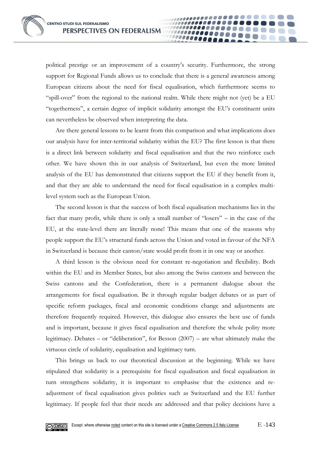political prestige or an improvement of a country's security. Furthermore, the strong support for Regional Funds allows us to conclude that there is a general awareness among European citizens about the need for fiscal equalisation, which furthermore seems to "spill-over" from the regional to the national realm. While there might not (yet) be a EU "togetherness", a certain degree of implicit solidarity amongst the EU's constituent units can nevertheless be observed when interpreting the data.

....

Are there general lessons to be learnt from this comparison and what implications does our analysis have for inter-territorial solidarity within the EU? The first lesson is that there is a direct link between solidarity and fiscal equalisation and that the two reinforce each other. We have shown this in our analysis of Switzerland, but even the more limited analysis of the EU has demonstrated that citizens support the EU if they benefit from it, and that they are able to understand the need for fiscal equalisation in a complex multilevel system such as the European Union.

The second lesson is that the success of both fiscal equalisation mechanisms lies in the fact that many profit, while there is only a small number of "losers" – in the case of the EU, at the state-level there are literally none! This means that one of the reasons why people support the EU's structural funds across the Union and voted in favour of the NFA in Switzerland is because their canton/state would profit from it in one way or another.

A third lesson is the obvious need for constant re-negotiation and flexibility. Both within the EU and its Member States, but also among the Swiss cantons and between the Swiss cantons and the Confederation, there is a permanent dialogue about the arrangements for fiscal equalisation. Be it through regular budget debates or as part of specific reform packages, fiscal and economic conditions change and adjustments are therefore frequently required. However, this dialogue also ensures the best use of funds and is important, because it gives fiscal equalisation and therefore the whole polity more legitimacy. Debates – or "deliberation", for Besson (2007) – are what ultimately make the virtuous circle of solidarity, equalisation and legitimacy turn.

This brings us back to our theoretical discussion at the beginning. While we have stipulated that solidarity is a prerequisite for fiscal equalisation and fiscal equalisation in turn strengthens solidarity, it is important to emphasise that the existence and readjustment of fiscal equalisation gives polities such as Switzerland and the EU further legitimacy. If people feel that their needs are addressed and that policy decisions have a

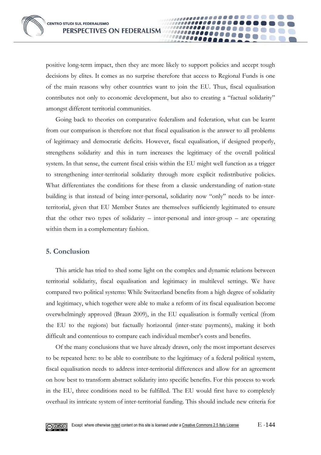positive long-term impact, then they are more likely to support policies and accept tough decisions by elites. It comes as no surprise therefore that access to Regional Funds is one of the main reasons why other countries want to join the EU. Thus, fiscal equalisation contributes not only to economic development, but also to creating a "factual solidarity" amongst different territorial communities.

**0000** 

Going back to theories on comparative federalism and federation, what can be learnt from our comparison is therefore not that fiscal equalisation is the answer to all problems of legitimacy and democratic deficits. However, fiscal equalisation, if designed properly, strengthens solidarity and this in turn increases the legitimacy of the overall political system. In that sense, the current fiscal crisis within the EU might well function as a trigger to strengthening inter-territorial solidarity through more explicit redistributive policies. What differentiates the conditions for these from a classic understanding of nation-state building is that instead of being inter-personal, solidarity now "only" needs to be interterritorial, given that EU Member States are themselves sufficiently legitimated to ensure that the other two types of solidarity – inter-personal and inter-group – are operating within them in a complementary fashion.

#### **5. Conclusion**

This article has tried to shed some light on the complex and dynamic relations between territorial solidarity, fiscal equalisation and legitimacy in multilevel settings. We have compared two political systems: While Switzerland benefits from a high degree of solidarity and legitimacy, which together were able to make a reform of its fiscal equalisation become overwhelmingly approved (Braun 2009), in the EU equalisation is formally vertical (from the EU to the regions) but factually horizontal (inter-state payments), making it both difficult and contentious to compare each individual member's costs and benefits.

Of the many conclusions that we have already drawn, only the most important deserves to be repeated here: to be able to contribute to the legitimacy of a federal political system, fiscal equalisation needs to address inter-territorial differences and allow for an agreement on how best to transform abstract solidarity into specific benefits. For this process to work in the EU, three conditions need to be fulfilled. The EU would first have to completely overhaul its intricate system of inter-territorial funding. This should include new criteria for

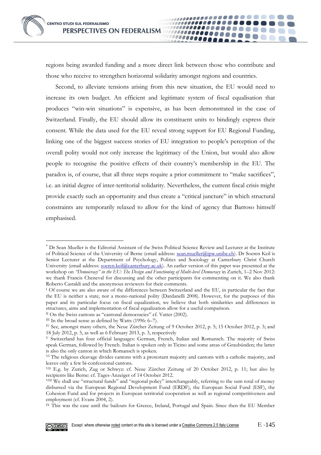regions being awarded funding and a more direct link between those who contribute and those who receive to strengthen horizontal solidarity amongst regions and countries.

,,,,,,,,,,,,,,,,,,,,,,

................

.........

,,,,,,,,,,,,,,,,,

,,,,,,,,,,,,,,,,,,,,

Second, to alleviate tensions arising from this new situation, the EU would need to increase its own budget. An efficient and legitimate system of fiscal equalisation that produces "win-win situations" is expensive, as has been demonstrated in the case of Switzerland. Finally, the EU should allow its constituent units to bindingly express their consent. While the data used for the EU reveal strong support for EU Regional Funding, linking one of the biggest success stories of EU integration to people's perception of the overall polity would not only increase the legitimacy of the Union, but would also allow people to recognise the positive effects of their country's membership in the EU. The paradox is, of course, that all three steps require a prior commitment to "make sacrifices", i.e. an initial degree of inter-territorial solidarity. Nevertheless, the current fiscal crisis might provide exactly such an opportunity and thus create a "critical juncture" in which structural constraints are temporarily relaxed to allow for the kind of agency that Barroso himself emphasised.

IX This was the case until the bailouts for Greece, Ireland, Portugal and Spain. Since then the EU Member



-

 Dr Sean Mueller is the Editorial Assistant of the Swiss Political Science Review and Lecturer at the Institute of Political Science of the University of Berne (email address: [sean.mueller@ipw.unibe.ch\)](mailto:sean.mueller@ipw.unibe.ch). Dr Soeren Keil is Senior Lecturer at the Department of Psychology, Politics and Sociology at Canterbury Christ Church University (email address: [soeren.keil@canterbury.ac.uk\)](mailto:soeren.keil@canterbury.ac.uk). An earlier version of this paper was presented at the workshop on *"Demoicracy" in the EU: The Design and Functioning of Multi-level Democracy* in Zurich, 1–2 Nov 2012: we thank Francis Cheneval for discussing and the other participants for commenting on it. We also thank Roberto Castaldi and the anonymous reviewers for their comments.

I Of course we are also aware of the differences between Switzerland and the EU, in particular the fact that the EU is neither a state, nor a mono-national polity (Dardanelli 2008). However, for the purposes of this paper and its particular focus on fiscal equalization, we believe that both similarities and differences in structures, aims and implementation of fiscal equalization allow for a useful comparison.

II On the Swiss cantons as "cantonal democracies" cf. Vatter (2002).

III In the broad sense as defined by Watts (1996: 6–7).

IV See, amongst many others, the Neue Zürcher Zeitung of 9 October 2012, p. 5; 15 October 2012, p. 3; and 18 July 2012, p. 5, as well as 6 February 2013, p. 3, respectively

<sup>V</sup> Switzerland has four official languages: German, French, Italian and Romansch. The majority of Swiss speak German, followed by French. Italian is spoken only in Ticino and some areas of Graubünden; the latter is also the only canton in which Romansch is spoken.

VI The religious cleavage divides cantons with a protestant majority and cantons with a catholic majority, and leaves only a few bi-confessional cantons.

VII E.g. by Zurich, Zug or Schwyz: cf. Neue Zürcher Zeitung of 20 October 2012, p. 11; but also by recipients like Berne: cf. Tages-Anzeiger of 14 October 2012.

VIII We shall use "structural funds" and "regional policy" interchangeably, referring to the sum total of money disbursed via the European Regional Development Fund (ERDF), the European Social Fund (ESF), the Cohesion Fund and for projects in European territorial cooperation as well as regional competitiveness and employment (cf. Evans 2004, 2).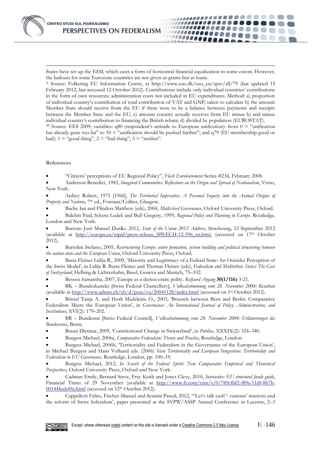-States have set up the ESM, which casts a form of horizontal financial equalization to some extent. However, the bailouts for some Eurozone countries are not given as grants but as loans.

,,,,,,,,,,,,,,,,,,,,,,,

...............

.........

,,,,,,,,,,,,,,,,

,,,,,,,,,,,,,,,,,,,

<sup>X</sup> Source: Folketing EU Information Centre, at [http://www.euo.dk/euo\\_en/spsv/all/79](http://www.euo.dk/euo_en/spsv/all/79/) (last updated 15 February 2012, last accessed 12 October 2012). Contributions include only individual countries' contributions in the form of own resources; administration costs not included in EU expenditures. Method: a) proportion of individual country's contribution of total contribution of VAT and GNP; taken to calculate b) the amount Member State should receive from the EU if there were to be a balance between payments and receipts between the Member State and the EU; c) amount country actually receives from EU minus b) and minus individual country's contribution to financing the British rebate; d) divided by population (EUROSTAT).

<sup>XI</sup> Source: EES 2009; variables: q80 (respondent's attitude to European unification): from  $0 =$  "unification" has already gone too far" to 10 = "unification should be pushed further"; and q79 (EU membership good or bad):  $1 = \text{``good thing''}, 2 = \text{``bad thing''}, 3 = \text{``neither''}.$ 

#### **References**

"Citizens' perceptions of EU Regional Policy", *Flash Eurobarometer* Series #234, February 2008.

 Anderson Benedict, 1983, *Imagined Communities: Reflections on the Origin and Spread of Nationalism*, Verso, New York.

 Ardrey Robert, 1975 [1966], *The Territorial Imperative: A Personal Inquiry into the Animal Origins of Property and Nations*, 7th ed., Fontana/Collins, Glasgow.

Bache Ian and Flinders Matthew (eds), 2004, *Multi-level Governance*, Oxford University Press, Oxford.

 Balchin Paul, Sykora Ludek and Bull Gregory, 1999, *Regional Policy and Planning in Europe*. Routledge, London and New York.

 Barroso José Manuel Durão, 2012, *State of the Union 2012 Address*, Strasbourg, 12 September 2012 (available at http://europa.eu/rapid/press-release SPEECH-12-596 en.htm) (accessed on 17<sup>th</sup> October 2012).

 Bartolini Stefano, 2005, *Restructuring Europe: centre formation, system building and political structuring between the nation-state and the European Union*, Oxford University Press, Oxford.

 Basta Fleiner Lidija R., 2000, 'Minority and Legitimacy of a Federal State: An Outsider Perception of the Swiss Model', in Lidija R. Basta Fleiner and Thomas Fleiner (eds), *Federalism and Multiethnic States: The Case of Switzerland*, Helbing & Lichtenhahn, Basel, Geneva and Munich, 75–102.

Besson Samantha, 2007, Europe as a demoi-cratic polity. *Retfaerd Argang* **30(1/116)** 3-21.

 BK – Bundeskanzlei [Swiss Federal Chancellery], *Volksabstimmung vom 28. November 2004: Resultate* (available at<http://www.admin.ch/ch/d/pore/va/20041128/index.html>(accessed on 1st October 2012).

 Börzel Tanja A. and Hosli Madeleine O., 2003, 'Brussels between Bern and Berlin: Comparative Federalism Meets the European Union', in *Governance: An International Journal of Policy, Administration, and Institutions*, XVI(2): 179–202.

 BR – Bundesrat [Swiss Federal Council], *Volksabstimmung vom 28. November 2004: Erläuterungen des Bundesrates*, Berne.

Braun Dietmar, 2009, 'Constitutional Change in Switzerland', in *Publius*, XXXIX(2): 324–340.

Burgess Michael, 2006a, *Comparative Federalism: Theory and Practice*, Routledge, London.

 Burgess Michael, 2006b, 'Territoriality and Federalism in the Governance of the European Union', in Michael Burgess and Hans Vollaard eds. (2006) *State Territoriality and European Integration: Territoriality and Federalism in EU Governance*. Routledge, London, pp. 100–19.

 Burgess Michael, 2012, *In Search of the Federal Spirit: New Comparative Empirical and Theoretical Perspectives*, Oxford University Press, Oxford and New York.

 Cadman Emily, Bernard Steve, Fray Keith and Jones Cleve, 2010, *Interactive: EU structural funds guide*, Financial Times of 29 November (available at [http://www.ft.com/cms/s/0/789cf6f2-f89a-11df-8b7b-](http://www.ft.com/cms/s/0/789cf6f2-f89a-11df-8b7b-00144feab49a.html)[00144feab49a.html](http://www.ft.com/cms/s/0/789cf6f2-f89a-11df-8b7b-00144feab49a.html) (accessed on 12<sup>th</sup> October 2012).

 Cappelletti Fabio, Fischer Manuel and Sciarini Pascal, 2012, '"Let's talk cash": cantons' interests and the reform of Swiss federalism', paper presented at the SVPW/ASSP Annual Conference in Lucerne, 2–3

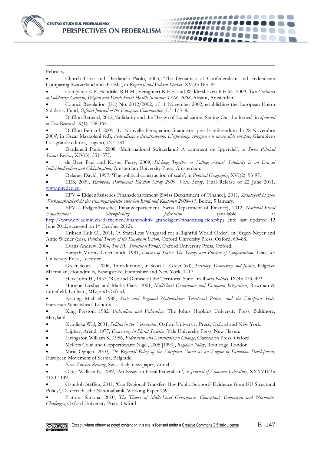-February.

 Church Clive and Dardanelli Paolo, 2005, 'The Dynamics of Confederalism and Federalism: Comparing Switzerland and the EU', in *Regional and Federal Studies*, XV(2): 163–85.

,,,,,,,,,,,,,,,,,,,,,,,

.............

.........

10000000000000

,,,,,,,,,,,,,,,,,,,,

 Companje K.P, Hendriks R.H.M., Veraghtert K.F.E. and Widdershoven B.E.M., 2009, *Two Centuries of Solidarity: German, Belgian and Dutch Social Health Insurance 1778–2008*, Aksant, Amsterdam.

 Council Regulation (EC) No. 2012/2002, of 11 November 2002, establishing the European Union Solidarity Fund, *Official Journal of the European Communities,* L311/3–8.

 Dafflon Bernard, 2012, 'Solidarity and the Design of Equalization: Setting Out the Issues', in *eJournal of Tax Research*, X(1): 138-164.

 Dafflon Bernard, 2005, 'La Nouvelle Péréquation financière après le referendum du 28 Novembre 2004', in Oscar Mazzoleni (ed), *Federalismo e decentramento. L'esperienza svizzera e le nuove sfide europee*, Giampiero Casagrande editore, Lugano, 127–181.

 Dardanelli Paolo, 2008, 'Multi-national Switzerland? A comment on Ipperciel', in *Swiss Political Science Review*, XIV(3): 551–577.

 de Beer Paul and Koster Ferry, 2009, *Sticking Together or Falling Apart? Solidarity in an Era of Individualization and Globalization*, Amsterdam University Press, Amsterdam.

Delaney David, 1997, 'The political construction of scale', in *Political Geography*, XVI(2): 93-97.

 EES, 2009, *European Parliament Election Study 2009, Voter Study*, Final Release of 22 June 2011, [www.piredeu.eu.](http://www.piredeu.eu/) 

 EFV – Eidgenössisches Finanzdepartement [Swiss Department of Finance], 2011, *Zusatzbericht zum Wirksamkeitsbericht des Finanzausgleichs zwischen Bund und Kantonen 2008–11*. Berne, 5 January.

 EFV – Eidgenössisches Finanzdepartement [Swiss Department of Finance], 2012, *National Fiscal Equalisation: Strengthening federalism* (available at [http://www.efv.admin.ch/d/themen/finanzpolitik\\_grundlagen/finanzausgleich.php\)](http://www.efv.admin.ch/d/themen/finanzpolitik_grundlagen/finanzausgleich.php) (site last updated 12 June 2012; accessed on 1<sup>st</sup> October 2012).

 Eriksen Erik O., 2011, 'A State-Less Vanguard for a Rightful World Order', in Jürgen Neyer and Antje Wiener (eds), *Political Theory of the European Union*, Oxford University Press, Oxford, 69–88.

Evans Andrew, 2004, *The EU Structural Funds*, Oxford University Press, Oxford.

 Forsyth Murray Greensmith, 1981, *Unions of States: The Theory and Practice of Confederation*, Leicester University Press, Leicester.

 Greer Scott L., 2006, 'Introduction', in Scott L. Greer (ed), *Territory, Democracy and Justice*, Palgrave Macmillan, Houndmills, Basingstoke, Hampshire and New York, 1–17.

Herz John H., 1957, 'Rise and Demise of the Territorial State', in *World Politics*, IX(4): 473–493.

 Hooghe Liesbet and Marks Gary, 2001, *Multi-level Governance and European Integration*, Rowman & Littlefield, Lanham, MD, and Oxford.

 Keating Michael, 1988, *State and Regional Nationalism: Territorial Politics and the European State*, Harvester Wheatsheaf, London.

 King Preston, 1982, *Federalism and Federation*, The Johns Hopkins University Press, Baltimore, Maryland.

Kymlicka Will, 2001, *Politics in the Vernacular*, Oxford University Press, Oxford and New York.

Lijphart Arend, 1977, *Democracy in Plural Societies*, Yale University Press, New Haven.

Livingston William S., 1956, *Federalism and Constitutional Change*, Clarendon Press, Oxford.

Mellors Colin and Copperthwaite Nigel, 2005 [1990], *Regional Policy*, Routledge, London.

 Miric Ognjen, 2010, *The Regional Policy of the European Union as an Engine of Economic Development*, European Movement of Serbia, Belgrade.

*Neue Zürcher Zeitung*, Swiss daily newspaper, Zurich.

 Oates Wallace E., 1999, 'An Essay on Fiscal Federalism', in *Journal of Economic Literature*, XXXVII(3): 1120-1149.

 Osterloh Steffen, 2011, 'Can Regional Transfers Buy Public Support? Evidence from EU Structural Policy', Österreichische Nationalbank, Working Paper 169.

 Piattoni Simona, 2010, *The Theory of Multi-Level Governance. Conceptual, Empirical, and Normative Challenges*, Oxford University Press, Oxford.